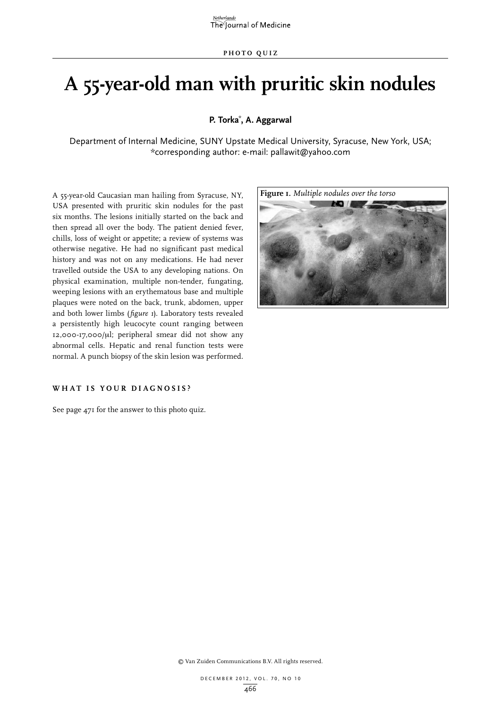# **A 55-year-old man with pruritic skin nodules**

**P. Torka\* , A. Aggarwal**

Department of Internal Medicine, SUNY Upstate Medical University, Syracuse, New York, USA; \*corresponding author: e-mail: pallawit@yahoo.com

A 55-year-old Caucasian man hailing from Syracuse, NY, USA presented with pruritic skin nodules for the past six months. The lesions initially started on the back and then spread all over the body. The patient denied fever, chills, loss of weight or appetite; a review of systems was otherwise negative. He had no significant past medical history and was not on any medications. He had never travelled outside the USA to any developing nations. On physical examination, multiple non-tender, fungating, weeping lesions with an erythematous base and multiple plaques were noted on the back, trunk, abdomen, upper and both lower limbs (*figure 1*). Laboratory tests revealed a persistently high leucocyte count ranging between 12,000-17,000/µl; peripheral smear did not show any abnormal cells. Hepatic and renal function tests were normal. A punch biopsy of the skin lesion was performed.

#### **W H AT IS YO U R DIA G NOSIS ?**

See page 471 for the answer to this photo quiz.



© Van Zuiden Communications B.V. All rights reserved.